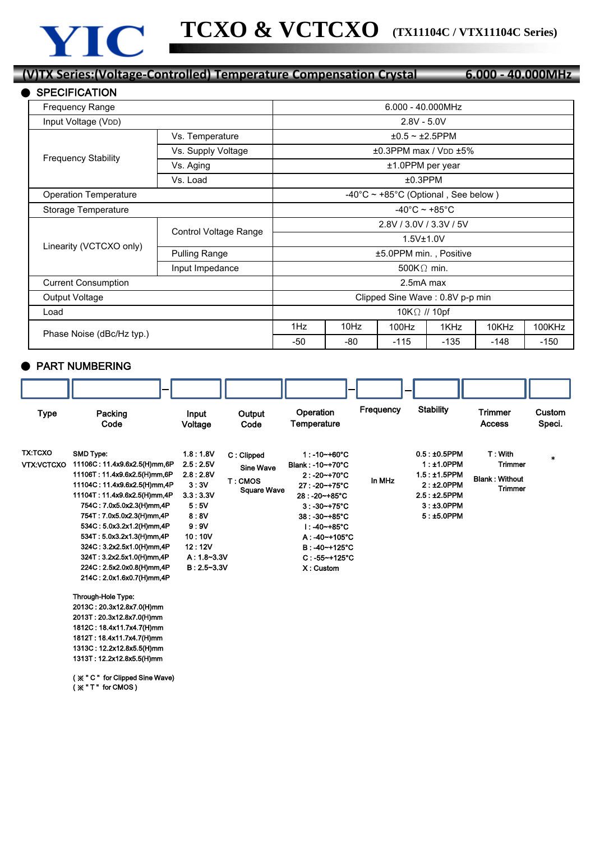## **(V)TX Series:(Voltage-Controlled) Temperature Compensation Crystal 6.000 - 40.000MHz**

| <b>SPECIFICATION</b>         |                       |                                               |      |                                               |        |        |        |  |  |
|------------------------------|-----------------------|-----------------------------------------------|------|-----------------------------------------------|--------|--------|--------|--|--|
| Frequency Range              | $6.000 - 40.000 MHz$  |                                               |      |                                               |        |        |        |  |  |
| Input Voltage (VDD)          | $2.8V - 5.0V$         |                                               |      |                                               |        |        |        |  |  |
| <b>Frequency Stability</b>   | Vs. Temperature       | $±0.5$ ~ $±2.5$ PPM                           |      |                                               |        |        |        |  |  |
|                              | Vs. Supply Voltage    | $\pm 0.3$ PPM max / V <sub>DD</sub> $\pm 5\%$ |      |                                               |        |        |        |  |  |
|                              | Vs. Aging             | ±1.0PPM per year                              |      |                                               |        |        |        |  |  |
|                              | Vs. Load              | $±0.3$ PPM                                    |      |                                               |        |        |        |  |  |
| <b>Operation Temperature</b> |                       |                                               |      | $-40^{\circ}$ C ~ +85°C (Optional, See below) |        |        |        |  |  |
| Storage Temperature          |                       | $-40^{\circ}$ C ~ +85 $^{\circ}$ C            |      |                                               |        |        |        |  |  |
|                              | Control Voltage Range | 2.8V / 3.0V / 3.3V / 5V                       |      |                                               |        |        |        |  |  |
| Linearity (VCTCXO only)      |                       | 1.5V±1.0V                                     |      |                                               |        |        |        |  |  |
|                              | <b>Pulling Range</b>  | ±5.0PPM min., Positive                        |      |                                               |        |        |        |  |  |
|                              | Input Impedance       | 500K $\Omega$ min.                            |      |                                               |        |        |        |  |  |
| <b>Current Consumption</b>   |                       | 2.5mA max                                     |      |                                               |        |        |        |  |  |
| Output Voltage               |                       | Clipped Sine Wave: 0.8V p-p min               |      |                                               |        |        |        |  |  |
| Load                         |                       | 10K $\Omega$ // 10pf                          |      |                                               |        |        |        |  |  |
| Phase Noise (dBc/Hz typ.)    |                       | 1Hz                                           | 10Hz | 100Hz                                         | 1KHz   | 10KHz  | 100KHz |  |  |
|                              |                       | $-50$                                         | -80  | $-115$                                        | $-135$ | $-148$ | $-150$ |  |  |

## ● PART NUMBERING

| Type                                | Packing<br>Code                                                                                                                                                                                  | Input<br>Voltage                   | Output<br>Code                            | Operation<br>Temperature                                                | Frequency | <b>Stability</b>                                                   | <b>Trimmer</b><br><b>Access</b>                    | Custom<br>Speci. |
|-------------------------------------|--------------------------------------------------------------------------------------------------------------------------------------------------------------------------------------------------|------------------------------------|-------------------------------------------|-------------------------------------------------------------------------|-----------|--------------------------------------------------------------------|----------------------------------------------------|------------------|
| <b>TX:TCXO</b><br><b>VTX:VCTCXO</b> | <b>SMD Type:</b><br>11106C: 11.4x9.6x2.5(H)mm,6P<br>11106T: 11.4x9.6x2.5(H)mm,6P                                                                                                                 | 1.8:1.8V<br>2.5:2.5V<br>2.8:2.8V   | C: Clipped<br><b>Sine Wave</b><br>T: CMOS | $1: -10 - +60^{\circ}C$<br>Blank: -10~+70°C<br>$2: -20 - +70^{\circ}C$  | In MHz    | $0.5: \pm 0.5$ PPM<br>$1:±1.0$ PPM<br>$1.5: \pm 1.5$ PPM           | T: With<br><b>Trimmer</b><br><b>Blank: Without</b> | $\ast$           |
|                                     | 11104C: 11.4x9.6x2.5(H)mm,4P<br>11104T: 11.4x9.6x2.5(H)mm,4P<br>754C: 7.0x5.0x2.3(H)mm,4P<br>754T: 7.0x5.0x2.3(H)mm,4P                                                                           | 3:3V<br>3.3:3.3V<br>5:5V<br>8:8V   | <b>Square Wave</b>                        | 27: -20~+75°C<br>28:-20~+85°C<br>$3:30 - +75^{\circ}C$<br>38: -30~+85°C |           | $2:±2.0$ PPM<br>$2.5:12.5$ PPM<br>$3: \pm 3.0$ PPM<br>$5:15.0$ PPM | <b>Trimmer</b>                                     |                  |
|                                     | 534C: 5.0x3.2x1.2(H)mm.4P<br>534T: 5.0x3.2x1.3(H)mm,4P<br>324C: 3.2x2.5x1.0(H)mm,4P                                                                                                              | 9:9V<br>10:10V<br>12:12V           |                                           | l : -40~+85°C<br>$A: -40 - +105$ °C<br>B: -40~+125°C                    |           |                                                                    |                                                    |                  |
|                                     | 324T: 3.2x2.5x1.0(H)mm,4P<br>224C: 2.5x2.0x0.8(H)mm,4P<br>214C: 2.0x1.6x0.7(H)mm,4P                                                                                                              | $A: 1.8 - 3.3V$<br>$B: 2.5 - 3.3V$ |                                           | $C: -55 - +125$ °C<br>X: Custom                                         |           |                                                                    |                                                    |                  |
|                                     | Through-Hole Type:<br>2013C: 20.3x12.8x7.0(H)mm<br>2013T: 20.3x12.8x7.0(H)mm<br>1812C: 18.4x11.7x4.7(H)mm<br>1812T: 18.4x11.7x4.7(H)mm<br>1313C: 12.2x12.8x5.5(H)mm<br>1313T: 12.2x12.8x5.5(H)mm |                                    |                                           |                                                                         |           |                                                                    |                                                    |                  |
|                                     | (※"C" for Clipped Sine Wave)                                                                                                                                                                     |                                    |                                           |                                                                         |           |                                                                    |                                                    |                  |

( ※ " T " for CMOS )